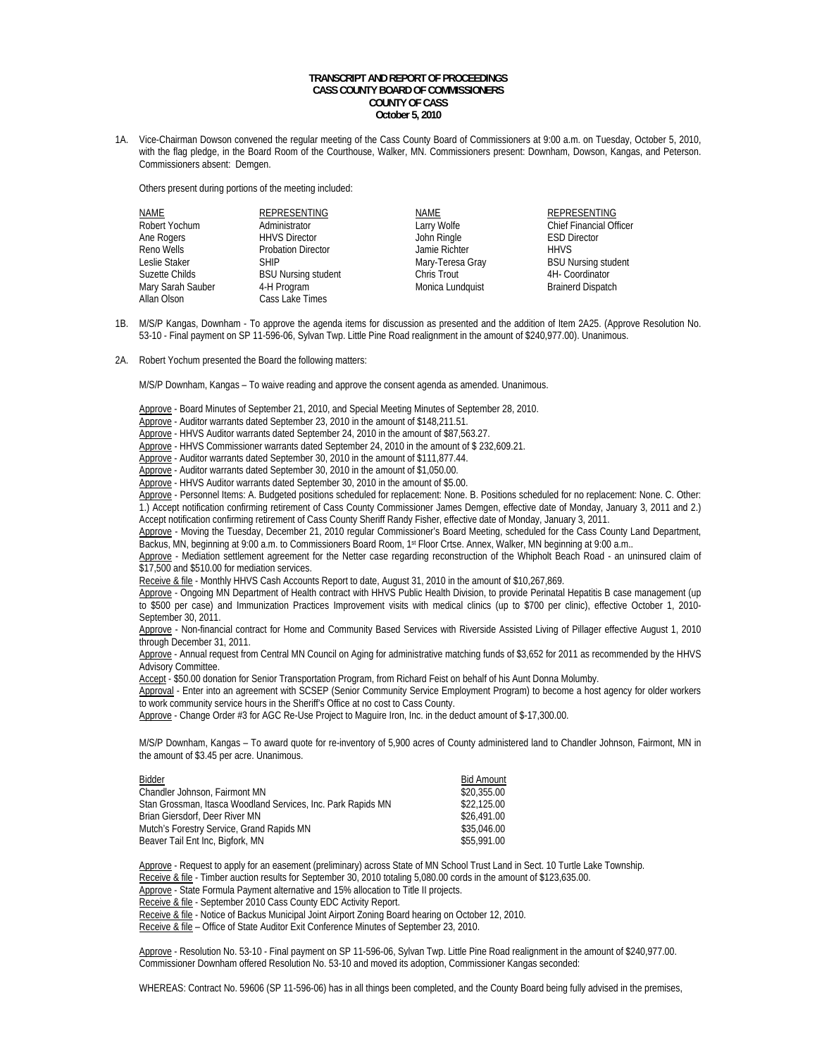## **TRANSCRIPT AND REPORT OF PROCEEDINGS CASS COUNTY BOARD OF COMMISSIONERS COUNTY OF CASS October 5, 2010**

1A. Vice-Chairman Dowson convened the regular meeting of the Cass County Board of Commissioners at 9:00 a.m. on Tuesday, October 5, 2010, with the flag pledge, in the Board Room of the Courthouse, Walker, MN. Commissioners present: Downham, Dowson, Kangas, and Peterson. Commissioners absent: Demgen.

Others present during portions of the meeting included:

| NAME              | <b>REPRESENTING</b>        |
|-------------------|----------------------------|
| Robert Yochum     | Administrator              |
| Ane Rogers        | <b>HHVS Director</b>       |
| Reno Wells        | <b>Probation Director</b>  |
| Leslie Staker     | <b>SHIP</b>                |
| Suzette Childs    | <b>BSU Nursing student</b> |
| Mary Sarah Sauber | 4-H Program                |
| Allan Olson       | Cass Lake Times            |

NAME REPRESENTING Ann Ringle<br>
Annie Richter<br>
HHVS Jamie Richter<br>Mary-Teresa Gray Chris Trout<br>
Monica Lundquist<br>
Monica Lundquist<br>
Shainerd Dispatch Monica Lundquist

Larry Wolfe Chief Financial Officer BSU Nursing student

- 1B. M/S/P Kangas, Downham To approve the agenda items for discussion as presented and the addition of Item 2A25. (Approve Resolution No. 53-10 - Final payment on SP 11-596-06, Sylvan Twp. Little Pine Road realignment in the amount of \$240,977.00). Unanimous.
- 2A. Robert Yochum presented the Board the following matters:

M/S/P Downham, Kangas – To waive reading and approve the consent agenda as amended. Unanimous.

Approve - Board Minutes of September 21, 2010, and Special Meeting Minutes of September 28, 2010.

- Approve Auditor warrants dated September 23, 2010 in the amount of \$148,211.51.
- Approve HHVS Auditor warrants dated September 24, 2010 in the amount of \$87,563.27.

Approve - HHVS Commissioner warrants dated September 24, 2010 in the amount of \$ 232,609.21.

Approve - Auditor warrants dated September 30, 2010 in the amount of \$111,877.44.

Approve - Auditor warrants dated September 30, 2010 in the amount of \$1,050.00.

Approve - HHVS Auditor warrants dated September 30, 2010 in the amount of \$5.00.

Approve - Personnel Items: A. Budgeted positions scheduled for replacement: None. B. Positions scheduled for no replacement: None. C. Other: 1.) Accept notification confirming retirement of Cass County Commissioner James Demgen, effective date of Monday, January 3, 2011 and 2.) Accept notification confirming retirement of Cass County Sheriff Randy Fisher, effective date of Monday, January 3, 2011.

 Approve - Moving the Tuesday, December 21, 2010 regular Commissioner's Board Meeting, scheduled for the Cass County Land Department, Backus, MN, beginning at 9:00 a.m. to Commissioners Board Room, 1st Floor Crtse. Annex, Walker, MN beginning at 9:00 a.m..

Approve - Mediation settlement agreement for the Netter case regarding reconstruction of the Whipholt Beach Road - an uninsured claim of \$17,500 and \$510.00 for mediation services.

Receive & file - Monthly HHVS Cash Accounts Report to date, August 31, 2010 in the amount of \$10,267,869.

Approve - Ongoing MN Department of Health contract with HHVS Public Health Division, to provide Perinatal Hepatitis B case management (up to \$500 per case) and Immunization Practices Improvement visits with medical clinics (up to \$700 per clinic), effective October 1, 2010- September 30, 2011.

 Approve - Non-financial contract for Home and Community Based Services with Riverside Assisted Living of Pillager effective August 1, 2010 through December 31, 2011.

 Approve - Annual request from Central MN Council on Aging for administrative matching funds of \$3,652 for 2011 as recommended by the HHVS Advisory Committee.

Accept - \$50.00 donation for Senior Transportation Program, from Richard Feist on behalf of his Aunt Donna Molumby.

 Approval - Enter into an agreement with SCSEP (Senior Community Service Employment Program) to become a host agency for older workers to work community service hours in the Sheriff's Office at no cost to Cass County.

Approve - Change Order #3 for AGC Re-Use Project to Maguire Iron, Inc. in the deduct amount of \$-17,300.00.

M/S/P Downham, Kangas – To award quote for re-inventory of 5,900 acres of County administered land to Chandler Johnson, Fairmont, MN in the amount of \$3.45 per acre. Unanimous.

| Bidder                                                       | <b>Bid Amount</b> |
|--------------------------------------------------------------|-------------------|
| Chandler Johnson, Fairmont MN                                | \$20.355.00       |
| Stan Grossman, Itasca Woodland Services, Inc. Park Rapids MN | \$22,125.00       |
| Brian Giersdorf, Deer River MN                               | \$26,491.00       |
| Mutch's Forestry Service, Grand Rapids MN                    | \$35,046.00       |
| Beaver Tail Ent Inc, Bigfork, MN                             | \$55,991.00       |

Approve - Request to apply for an easement (preliminary) across State of MN School Trust Land in Sect. 10 Turtle Lake Township.

Receive & file - Timber auction results for September 30, 2010 totaling 5,080.00 cords in the amount of \$123,635.00.

Approve - State Formula Payment alternative and 15% allocation to Title II projects.

Receive & file - September 2010 Cass County EDC Activity Report.

Receive & file - Notice of Backus Municipal Joint Airport Zoning Board hearing on October 12, 2010.

Receive & file – Office of State Auditor Exit Conference Minutes of September 23, 2010.

Approve - Resolution No. 53-10 - Final payment on SP 11-596-06, Sylvan Twp. Little Pine Road realignment in the amount of \$240,977.00. Commissioner Downham offered Resolution No. 53-10 and moved its adoption, Commissioner Kangas seconded:

WHEREAS: Contract No. 59606 (SP 11-596-06) has in all things been completed, and the County Board being fully advised in the premises,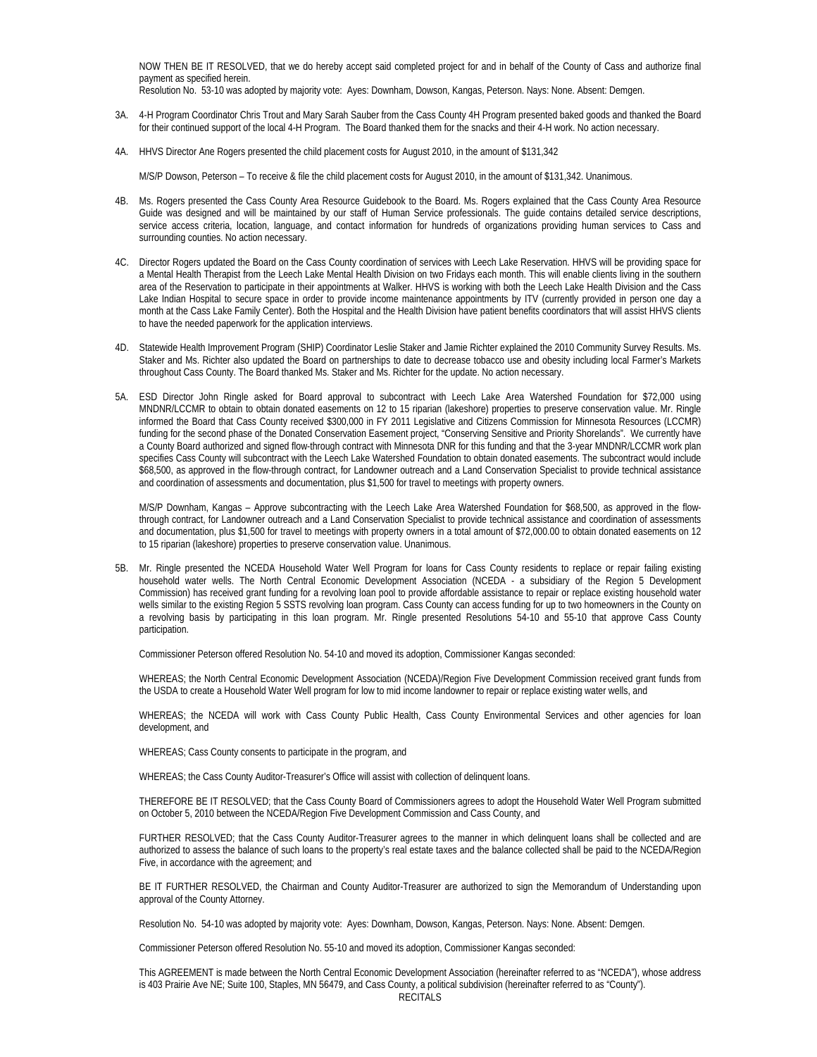NOW THEN BE IT RESOLVED, that we do hereby accept said completed project for and in behalf of the County of Cass and authorize final payment as specified herein.

Resolution No. 53-10 was adopted by majority vote: Ayes: Downham, Dowson, Kangas, Peterson. Nays: None. Absent: Demgen.

- 3A. 4-H Program Coordinator Chris Trout and Mary Sarah Sauber from the Cass County 4H Program presented baked goods and thanked the Board for their continued support of the local 4-H Program. The Board thanked them for the snacks and their 4-H work. No action necessary.
- 4A. HHVS Director Ane Rogers presented the child placement costs for August 2010, in the amount of \$131,342

M/S/P Dowson, Peterson – To receive & file the child placement costs for August 2010, in the amount of \$131,342. Unanimous.

- 4B. Ms. Rogers presented the Cass County Area Resource Guidebook to the Board. Ms. Rogers explained that the Cass County Area Resource Guide was designed and will be maintained by our staff of Human Service professionals. The guide contains detailed service descriptions, service access criteria, location, language, and contact information for hundreds of organizations providing human services to Cass and surrounding counties. No action necessary.
- 4C. Director Rogers updated the Board on the Cass County coordination of services with Leech Lake Reservation. HHVS will be providing space for a Mental Health Therapist from the Leech Lake Mental Health Division on two Fridays each month. This will enable clients living in the southern area of the Reservation to participate in their appointments at Walker. HHVS is working with both the Leech Lake Health Division and the Cass Lake Indian Hospital to secure space in order to provide income maintenance appointments by ITV (currently provided in person one day a month at the Cass Lake Family Center). Both the Hospital and the Health Division have patient benefits coordinators that will assist HHVS clients to have the needed paperwork for the application interviews.
- 4D. Statewide Health Improvement Program (SHIP) Coordinator Leslie Staker and Jamie Richter explained the 2010 Community Survey Results. Ms. Staker and Ms. Richter also updated the Board on partnerships to date to decrease tobacco use and obesity including local Farmer's Markets throughout Cass County. The Board thanked Ms. Staker and Ms. Richter for the update. No action necessary.
- 5A. ESD Director John Ringle asked for Board approval to subcontract with Leech Lake Area Watershed Foundation for \$72,000 using MNDNR/LCCMR to obtain to obtain donated easements on 12 to 15 riparian (lakeshore) properties to preserve conservation value. Mr. Ringle informed the Board that Cass County received \$300,000 in FY 2011 Legislative and Citizens Commission for Minnesota Resources (LCCMR) funding for the second phase of the Donated Conservation Easement project, "Conserving Sensitive and Priority Shorelands". We currently have a County Board authorized and signed flow-through contract with Minnesota DNR for this funding and that the 3-year MNDNR/LCCMR work plan specifies Cass County will subcontract with the Leech Lake Watershed Foundation to obtain donated easements. The subcontract would include \$68,500, as approved in the flow-through contract, for Landowner outreach and a Land Conservation Specialist to provide technical assistance and coordination of assessments and documentation, plus \$1,500 for travel to meetings with property owners.

 M/S/P Downham, Kangas – Approve subcontracting with the Leech Lake Area Watershed Foundation for \$68,500, as approved in the flowthrough contract, for Landowner outreach and a Land Conservation Specialist to provide technical assistance and coordination of assessments and documentation, plus \$1,500 for travel to meetings with property owners in a total amount of \$72,000.00 to obtain donated easements on 12 to 15 riparian (lakeshore) properties to preserve conservation value. Unanimous.

5B. Mr. Ringle presented the NCEDA Household Water Well Program for loans for Cass County residents to replace or repair failing existing household water wells. The North Central Economic Development Association (NCEDA - a subsidiary of the Region 5 Development Commission) has received grant funding for a revolving loan pool to provide affordable assistance to repair or replace existing household water wells similar to the existing Region 5 SSTS revolving loan program. Cass County can access funding for up to two homeowners in the County on a revolving basis by participating in this loan program. Mr. Ringle presented Resolutions 54-10 and 55-10 that approve Cass County participation.

Commissioner Peterson offered Resolution No. 54-10 and moved its adoption, Commissioner Kangas seconded:

WHEREAS; the North Central Economic Development Association (NCEDA)/Region Five Development Commission received grant funds from the USDA to create a Household Water Well program for low to mid income landowner to repair or replace existing water wells, and

WHEREAS; the NCEDA will work with Cass County Public Health, Cass County Environmental Services and other agencies for loan development, and

WHEREAS; Cass County consents to participate in the program, and

WHEREAS; the Cass County Auditor-Treasurer's Office will assist with collection of delinquent loans.

THEREFORE BE IT RESOLVED; that the Cass County Board of Commissioners agrees to adopt the Household Water Well Program submitted on October 5, 2010 between the NCEDA/Region Five Development Commission and Cass County, and

FURTHER RESOLVED; that the Cass County Auditor-Treasurer agrees to the manner in which delinquent loans shall be collected and are authorized to assess the balance of such loans to the property's real estate taxes and the balance collected shall be paid to the NCEDA/Region Five, in accordance with the agreement; and

BE IT FURTHER RESOLVED, the Chairman and County Auditor-Treasurer are authorized to sign the Memorandum of Understanding upon approval of the County Attorney.

Resolution No. 54-10 was adopted by majority vote: Ayes: Downham, Dowson, Kangas, Peterson. Nays: None. Absent: Demgen.

Commissioner Peterson offered Resolution No. 55-10 and moved its adoption, Commissioner Kangas seconded:

This AGREEMENT is made between the North Central Economic Development Association (hereinafter referred to as "NCEDA"), whose address is 403 Prairie Ave NE; Suite 100, Staples, MN 56479, and Cass County, a political subdivision (hereinafter referred to as "County").